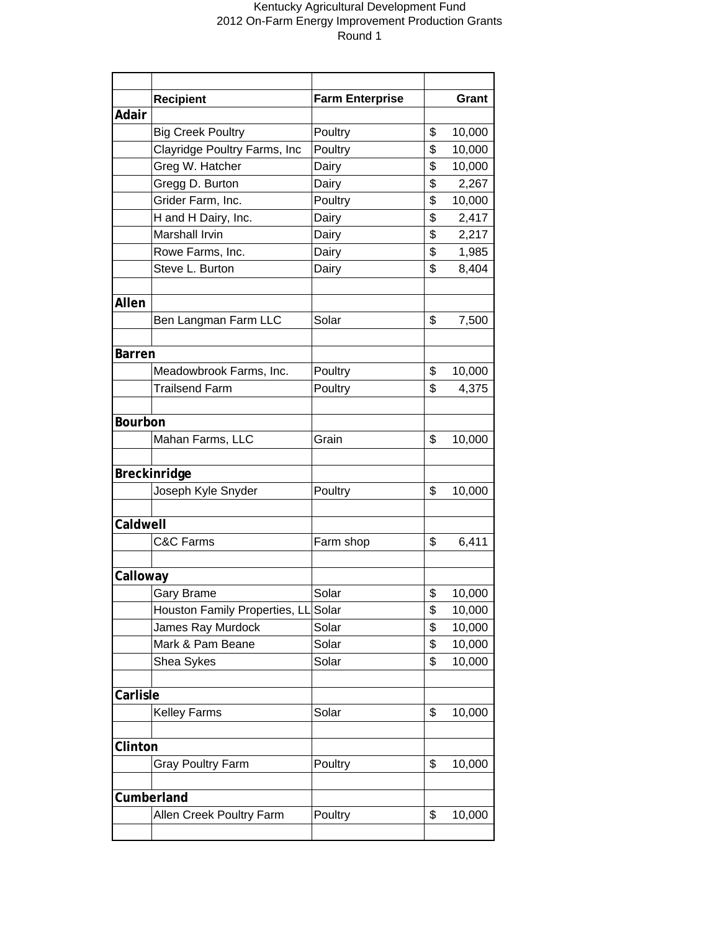|                | <b>Recipient</b>              | <b>Farm Enterprise</b> | Grant        |
|----------------|-------------------------------|------------------------|--------------|
| Adair          |                               |                        |              |
|                | <b>Big Creek Poultry</b>      | Poultry                | \$<br>10,000 |
|                | Clayridge Poultry Farms, Inc  | Poultry                | \$<br>10,000 |
|                | Greg W. Hatcher               | Dairy                  | \$<br>10,000 |
|                | Gregg D. Burton               | Dairy                  | \$<br>2,267  |
|                | Grider Farm, Inc.             | Poultry                | \$<br>10,000 |
|                | H and H Dairy, Inc.           | Dairy                  | \$<br>2,417  |
|                | Marshall Irvin                | Dairy                  | \$<br>2,217  |
|                | Rowe Farms, Inc.              | Dairy                  | \$<br>1,985  |
|                | Steve L. Burton               | Dairy                  | \$<br>8,404  |
|                |                               |                        |              |
| Allen          |                               |                        |              |
|                | Ben Langman Farm LLC          | Solar                  | \$<br>7,500  |
|                |                               |                        |              |
| <b>Barren</b>  |                               |                        |              |
|                | Meadowbrook Farms, Inc.       | Poultry                | \$<br>10,000 |
|                | <b>Trailsend Farm</b>         | Poultry                | \$<br>4,375  |
|                |                               |                        |              |
| <b>Bourbon</b> |                               |                        |              |
|                | Mahan Farms, LLC              | Grain                  | \$<br>10,000 |
|                |                               |                        |              |
|                | Breckinridge                  |                        |              |
|                | Joseph Kyle Snyder            | Poultry                | \$<br>10,000 |
|                |                               |                        |              |
| Caldwell       |                               |                        |              |
|                | <b>C&amp;C Farms</b>          | Farm shop              | \$<br>6,411  |
|                |                               |                        |              |
| Calloway       |                               |                        |              |
|                | <b>Gary Brame</b>             | Solar                  | \$<br>10,000 |
|                | Houston Family Properties, LL | Solar                  | \$<br>10,000 |
|                | James Ray Murdock             | Solar                  | \$<br>10,000 |
|                | Mark & Pam Beane              | Solar                  | \$<br>10,000 |
|                | Shea Sykes                    | Solar                  | \$<br>10,000 |
|                |                               |                        |              |
| Carlisle       |                               |                        |              |
|                | <b>Kelley Farms</b>           | Solar                  | \$<br>10,000 |
|                |                               |                        |              |
| Clinton        |                               |                        |              |
|                | <b>Gray Poultry Farm</b>      | Poultry                | \$<br>10,000 |
|                |                               |                        |              |
|                | Cumberland                    |                        |              |
|                | Allen Creek Poultry Farm      | Poultry                | \$<br>10,000 |
|                |                               |                        |              |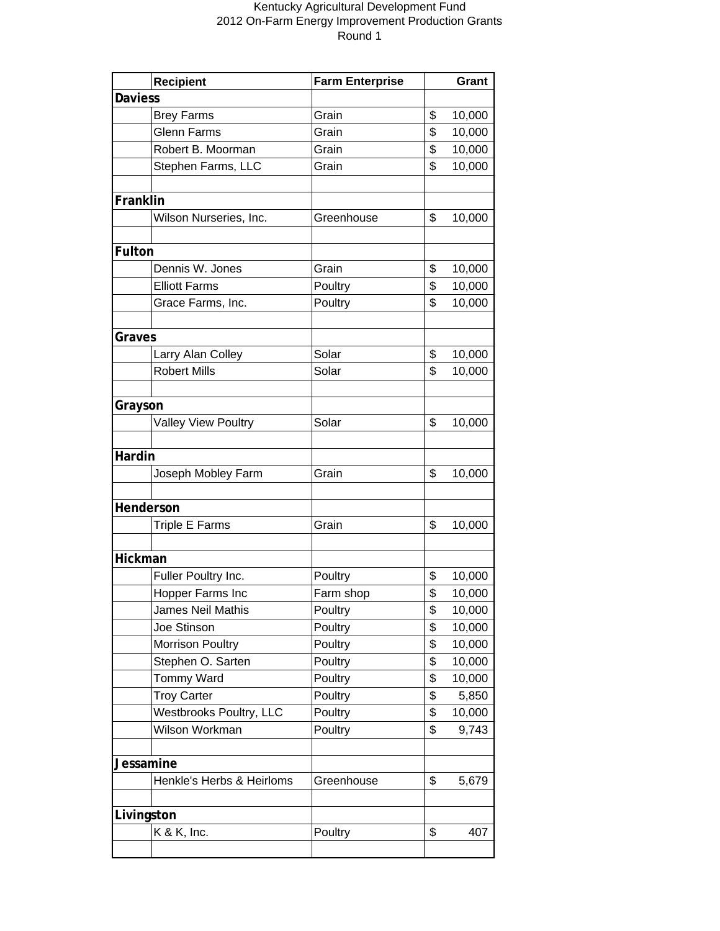|                | <b>Recipient</b>           | <b>Farm Enterprise</b> |    | Grant  |  |
|----------------|----------------------------|------------------------|----|--------|--|
| <b>Daviess</b> |                            |                        |    |        |  |
|                | <b>Brey Farms</b>          | Grain                  | \$ | 10,000 |  |
|                | <b>Glenn Farms</b>         | Grain                  | \$ | 10,000 |  |
|                | Robert B. Moorman          | Grain                  | \$ | 10,000 |  |
|                | Stephen Farms, LLC         | Grain                  | \$ | 10,000 |  |
|                |                            |                        |    |        |  |
| Franklin       |                            |                        |    |        |  |
|                | Wilson Nurseries, Inc.     | Greenhouse             | \$ | 10,000 |  |
|                |                            |                        |    |        |  |
| Fulton         |                            |                        |    |        |  |
|                | Dennis W. Jones            | Grain                  | \$ | 10,000 |  |
|                | <b>Elliott Farms</b>       | Poultry                | \$ | 10,000 |  |
|                | Grace Farms, Inc.          | Poultry                | \$ | 10,000 |  |
|                |                            |                        |    |        |  |
| Graves         |                            |                        |    |        |  |
|                | Larry Alan Colley          | Solar                  | \$ | 10,000 |  |
|                | <b>Robert Mills</b>        | Solar                  | \$ | 10,000 |  |
|                |                            |                        |    |        |  |
| Grayson        |                            |                        |    |        |  |
|                | <b>Valley View Poultry</b> | Solar                  | \$ | 10,000 |  |
|                |                            |                        |    |        |  |
| Hardin         |                            |                        |    |        |  |
|                | Joseph Mobley Farm         | Grain                  | \$ | 10,000 |  |
|                |                            |                        |    |        |  |
| Henderson      |                            |                        |    |        |  |
|                | <b>Triple E Farms</b>      | Grain                  | \$ | 10,000 |  |
|                |                            |                        |    |        |  |
| Hickman        |                            |                        |    |        |  |
|                | Fuller Poultry Inc.        | Poultry                | \$ | 10,000 |  |
|                | Hopper Farms Inc           | Farm shop              | \$ | 10,000 |  |
|                | James Neil Mathis          | Poultry                | \$ | 10,000 |  |
|                | Joe Stinson                | Poultry                | \$ | 10,000 |  |
|                | <b>Morrison Poultry</b>    | Poultry                | \$ | 10,000 |  |
|                | Stephen O. Sarten          | Poultry                | \$ | 10,000 |  |
|                | Tommy Ward                 | Poultry                | \$ | 10,000 |  |
|                | <b>Troy Carter</b>         | Poultry                | \$ | 5,850  |  |
|                | Westbrooks Poultry, LLC    | Poultry                | \$ | 10,000 |  |
|                | Wilson Workman             | Poultry                | \$ | 9,743  |  |
|                |                            |                        |    |        |  |
| Jessamine      |                            |                        |    |        |  |
|                | Henkle's Herbs & Heirloms  | Greenhouse             | \$ | 5,679  |  |
|                |                            |                        |    |        |  |
| Livingston     |                            |                        |    |        |  |
|                | K & K, Inc.                | Poultry                | \$ | 407    |  |
|                |                            |                        |    |        |  |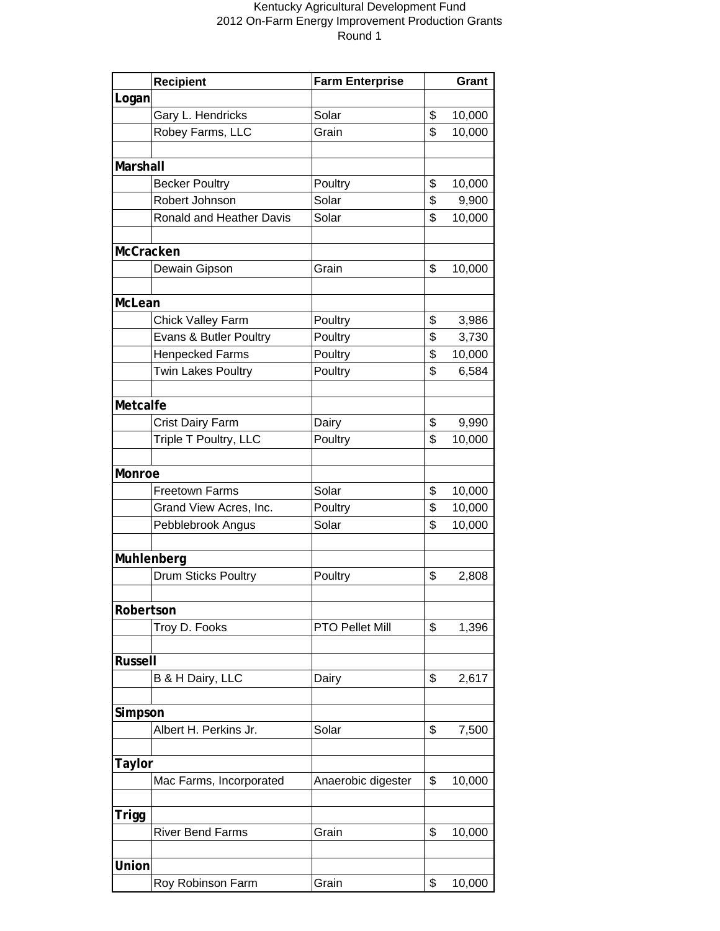| <b>Recipient</b><br>Logan<br>Gary L. Hendricks<br>Solar<br>\$<br>10,000<br>Robey Farms, LLC<br>Grain<br>\$<br>10,000<br>Marshall<br>\$<br><b>Becker Poultry</b><br>Poultry<br>10,000<br>Robert Johnson<br>\$<br>Solar<br>9,900<br>Ronald and Heather Davis<br>\$<br>10,000<br>Solar<br>McCracken<br>\$<br>Dewain Gipson<br>Grain<br>10,000<br>McLean<br><b>Chick Valley Farm</b><br>\$<br>Poultry<br>3,986<br>\$<br>Evans & Butler Poultry<br>3,730<br>Poultry<br>\$<br><b>Henpecked Farms</b><br>Poultry<br>10,000<br>\$<br><b>Twin Lakes Poultry</b><br>Poultry<br>6,584<br>Metcalfe<br>Crist Dairy Farm<br>\$<br>9,990<br>Dairy |  |  |  |  |  |  |
|------------------------------------------------------------------------------------------------------------------------------------------------------------------------------------------------------------------------------------------------------------------------------------------------------------------------------------------------------------------------------------------------------------------------------------------------------------------------------------------------------------------------------------------------------------------------------------------------------------------------------------|--|--|--|--|--|--|
|                                                                                                                                                                                                                                                                                                                                                                                                                                                                                                                                                                                                                                    |  |  |  |  |  |  |
|                                                                                                                                                                                                                                                                                                                                                                                                                                                                                                                                                                                                                                    |  |  |  |  |  |  |
|                                                                                                                                                                                                                                                                                                                                                                                                                                                                                                                                                                                                                                    |  |  |  |  |  |  |
|                                                                                                                                                                                                                                                                                                                                                                                                                                                                                                                                                                                                                                    |  |  |  |  |  |  |
|                                                                                                                                                                                                                                                                                                                                                                                                                                                                                                                                                                                                                                    |  |  |  |  |  |  |
|                                                                                                                                                                                                                                                                                                                                                                                                                                                                                                                                                                                                                                    |  |  |  |  |  |  |
|                                                                                                                                                                                                                                                                                                                                                                                                                                                                                                                                                                                                                                    |  |  |  |  |  |  |
|                                                                                                                                                                                                                                                                                                                                                                                                                                                                                                                                                                                                                                    |  |  |  |  |  |  |
|                                                                                                                                                                                                                                                                                                                                                                                                                                                                                                                                                                                                                                    |  |  |  |  |  |  |
|                                                                                                                                                                                                                                                                                                                                                                                                                                                                                                                                                                                                                                    |  |  |  |  |  |  |
|                                                                                                                                                                                                                                                                                                                                                                                                                                                                                                                                                                                                                                    |  |  |  |  |  |  |
|                                                                                                                                                                                                                                                                                                                                                                                                                                                                                                                                                                                                                                    |  |  |  |  |  |  |
|                                                                                                                                                                                                                                                                                                                                                                                                                                                                                                                                                                                                                                    |  |  |  |  |  |  |
|                                                                                                                                                                                                                                                                                                                                                                                                                                                                                                                                                                                                                                    |  |  |  |  |  |  |
|                                                                                                                                                                                                                                                                                                                                                                                                                                                                                                                                                                                                                                    |  |  |  |  |  |  |
|                                                                                                                                                                                                                                                                                                                                                                                                                                                                                                                                                                                                                                    |  |  |  |  |  |  |
|                                                                                                                                                                                                                                                                                                                                                                                                                                                                                                                                                                                                                                    |  |  |  |  |  |  |
|                                                                                                                                                                                                                                                                                                                                                                                                                                                                                                                                                                                                                                    |  |  |  |  |  |  |
|                                                                                                                                                                                                                                                                                                                                                                                                                                                                                                                                                                                                                                    |  |  |  |  |  |  |
|                                                                                                                                                                                                                                                                                                                                                                                                                                                                                                                                                                                                                                    |  |  |  |  |  |  |
| \$<br>Triple T Poultry, LLC<br>Poultry<br>10,000                                                                                                                                                                                                                                                                                                                                                                                                                                                                                                                                                                                   |  |  |  |  |  |  |
|                                                                                                                                                                                                                                                                                                                                                                                                                                                                                                                                                                                                                                    |  |  |  |  |  |  |
| Monroe                                                                                                                                                                                                                                                                                                                                                                                                                                                                                                                                                                                                                             |  |  |  |  |  |  |
| <b>Freetown Farms</b><br>Solar<br>10,000<br>\$                                                                                                                                                                                                                                                                                                                                                                                                                                                                                                                                                                                     |  |  |  |  |  |  |
| \$<br>Poultry<br>10,000<br>Grand View Acres, Inc.                                                                                                                                                                                                                                                                                                                                                                                                                                                                                                                                                                                  |  |  |  |  |  |  |
| Solar<br>\$<br>10,000<br>Pebblebrook Angus                                                                                                                                                                                                                                                                                                                                                                                                                                                                                                                                                                                         |  |  |  |  |  |  |
|                                                                                                                                                                                                                                                                                                                                                                                                                                                                                                                                                                                                                                    |  |  |  |  |  |  |
| Muhlenberg                                                                                                                                                                                                                                                                                                                                                                                                                                                                                                                                                                                                                         |  |  |  |  |  |  |
| Drum Sticks Poultry<br>Poultry<br>\$<br>2,808                                                                                                                                                                                                                                                                                                                                                                                                                                                                                                                                                                                      |  |  |  |  |  |  |
|                                                                                                                                                                                                                                                                                                                                                                                                                                                                                                                                                                                                                                    |  |  |  |  |  |  |
| Robertson                                                                                                                                                                                                                                                                                                                                                                                                                                                                                                                                                                                                                          |  |  |  |  |  |  |
| Troy D. Fooks<br><b>PTO Pellet Mill</b><br>\$<br>1,396                                                                                                                                                                                                                                                                                                                                                                                                                                                                                                                                                                             |  |  |  |  |  |  |
|                                                                                                                                                                                                                                                                                                                                                                                                                                                                                                                                                                                                                                    |  |  |  |  |  |  |
| <b>Russell</b>                                                                                                                                                                                                                                                                                                                                                                                                                                                                                                                                                                                                                     |  |  |  |  |  |  |
| B & H Dairy, LLC<br>\$<br>2,617<br>Dairy                                                                                                                                                                                                                                                                                                                                                                                                                                                                                                                                                                                           |  |  |  |  |  |  |
|                                                                                                                                                                                                                                                                                                                                                                                                                                                                                                                                                                                                                                    |  |  |  |  |  |  |
| Simpson                                                                                                                                                                                                                                                                                                                                                                                                                                                                                                                                                                                                                            |  |  |  |  |  |  |
| Albert H. Perkins Jr.<br>\$<br>Solar<br>7,500                                                                                                                                                                                                                                                                                                                                                                                                                                                                                                                                                                                      |  |  |  |  |  |  |
|                                                                                                                                                                                                                                                                                                                                                                                                                                                                                                                                                                                                                                    |  |  |  |  |  |  |
| Taylor                                                                                                                                                                                                                                                                                                                                                                                                                                                                                                                                                                                                                             |  |  |  |  |  |  |
| Mac Farms, Incorporated<br>\$<br>10,000<br>Anaerobic digester                                                                                                                                                                                                                                                                                                                                                                                                                                                                                                                                                                      |  |  |  |  |  |  |
|                                                                                                                                                                                                                                                                                                                                                                                                                                                                                                                                                                                                                                    |  |  |  |  |  |  |
| Trigg                                                                                                                                                                                                                                                                                                                                                                                                                                                                                                                                                                                                                              |  |  |  |  |  |  |
| <b>River Bend Farms</b><br>\$<br>10,000<br>Grain                                                                                                                                                                                                                                                                                                                                                                                                                                                                                                                                                                                   |  |  |  |  |  |  |
|                                                                                                                                                                                                                                                                                                                                                                                                                                                                                                                                                                                                                                    |  |  |  |  |  |  |
| Union                                                                                                                                                                                                                                                                                                                                                                                                                                                                                                                                                                                                                              |  |  |  |  |  |  |
| Roy Robinson Farm<br>Grain<br>\$<br>10,000                                                                                                                                                                                                                                                                                                                                                                                                                                                                                                                                                                                         |  |  |  |  |  |  |